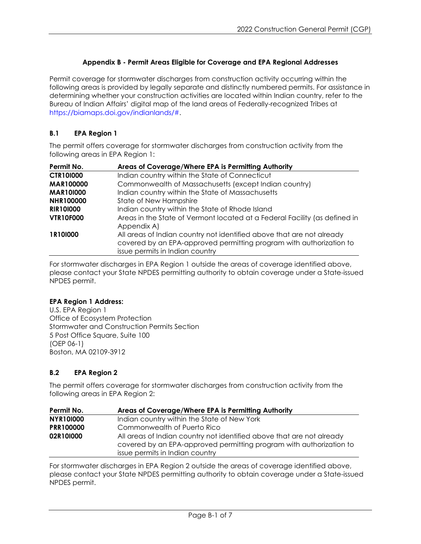# **Appendix B - Permit Areas Eligible for Coverage and EPA Regional Addresses**

Permit coverage for stormwater discharges from construction activity occurring within the following areas is provided by legally separate and distinctly numbered permits. For assistance in determining whether your construction activities are located within Indian country, refer to the Bureau of Indian Affairs' digital map of the land areas of Federally-recognized Tribes at [https://biamaps.doi.gov/indianlands/#.](https://biamaps.doi.gov/indianlands/)

# **B.1 EPA Region 1**

The permit offers coverage for stormwater discharges from construction activity from the following areas in EPA Region 1:

| Permit No.       | Areas of Coverage/Where EPA is Permitting Authority                                                                                                                             |
|------------------|---------------------------------------------------------------------------------------------------------------------------------------------------------------------------------|
| <b>CTR101000</b> | Indian country within the State of Connecticut                                                                                                                                  |
| <b>MAR100000</b> | Commonwealth of Massachusetts (except Indian country)                                                                                                                           |
| <b>MAR101000</b> | Indian country within the State of Massachusetts                                                                                                                                |
| <b>NHR100000</b> | State of New Hampshire                                                                                                                                                          |
| <b>RIR101000</b> | Indian country within the State of Rhode Island                                                                                                                                 |
| <b>VTR10F000</b> | Areas in the State of Vermont located at a Federal Facility (as defined in<br>Appendix A)                                                                                       |
| 1R101000         | All areas of Indian country not identified above that are not already<br>covered by an EPA-approved permitting program with authorization to<br>issue permits in Indian country |

For stormwater discharges in EPA Region 1 outside the areas of coverage identified above, please contact your State NPDES permitting authority to obtain coverage under a State-issued NPDES permit.

#### **EPA Region 1 Address:**

U.S. EPA Region 1 Office of Ecosystem Protection Stormwater and Construction Permits Section 5 Post Office Square, Suite 100 (OEP 06-1) Boston, MA 02109-3912

## **B.2 EPA Region 2**

The permit offers coverage for stormwater discharges from construction activity from the following areas in EPA Region 2:

| Permit No.       | Areas of Coverage/Where EPA is Permitting Authority                                                                                                                             |
|------------------|---------------------------------------------------------------------------------------------------------------------------------------------------------------------------------|
| <b>NYR101000</b> | Indian country within the State of New York                                                                                                                                     |
| <b>PRR100000</b> | Commonwealth of Puerto Rico                                                                                                                                                     |
| 02R10I000        | All areas of Indian country not identified above that are not already<br>covered by an EPA-approved permitting program with authorization to<br>issue permits in Indian country |

For stormwater discharges in EPA Region 2 outside the areas of coverage identified above, please contact your State NPDES permitting authority to obtain coverage under a State-issued NPDES permit.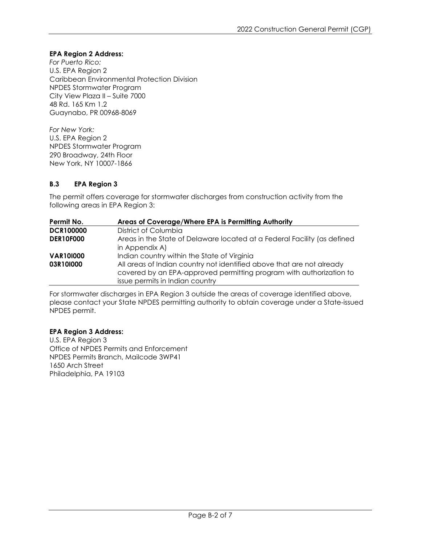### **EPA Region 2 Address:**

*For Puerto Rico:* U.S. EPA Region 2 Caribbean Environmental Protection Division NPDES Stormwater Program City View Plaza II – Suite 7000 48 Rd. 165 Km 1.2 Guaynabo, PR 00968-8069

*For New York:* U.S. EPA Region 2 NPDES Stormwater Program 290 Broadway, 24th Floor New York, NY 10007-1866

### **B.3 EPA Region 3**

The permit offers coverage for stormwater discharges from construction activity from the following areas in EPA Region 3:

| Permit No.       | Areas of Coverage/Where EPA is Permitting Authority                                                                                          |
|------------------|----------------------------------------------------------------------------------------------------------------------------------------------|
| <b>DCR100000</b> | District of Columbia                                                                                                                         |
| <b>DER10F000</b> | Areas in the State of Delaware located at a Federal Facility (as defined                                                                     |
|                  | in Appendix A)                                                                                                                               |
| <b>VAR101000</b> | Indian country within the State of Virginia                                                                                                  |
| 03R10I000        | All areas of Indian country not identified above that are not already<br>covered by an EPA-approved permitting program with authorization to |
|                  | issue permits in Indian country                                                                                                              |

For stormwater discharges in EPA Region 3 outside the areas of coverage identified above, please contact your State NPDES permitting authority to obtain coverage under a State-issued NPDES permit.

#### **EPA Region 3 Address:**

U.S. EPA Region 3 Office of NPDES Permits and Enforcement NPDES Permits Branch, Mailcode 3WP41 1650 Arch Street Philadelphia, PA 19103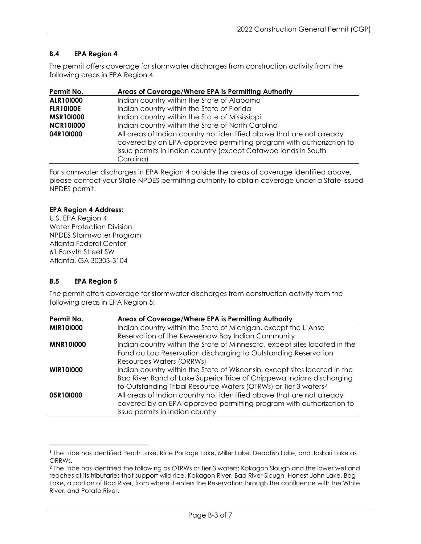### **B.4 EPA Region 4**

The permit offers coverage for stormwater discharges from construction activity from the following areas in EPA Region 4:

| Permit No.       | Areas of Coverage/Where EPA is Permitting Authority                                                                                          |
|------------------|----------------------------------------------------------------------------------------------------------------------------------------------|
| <b>ALR101000</b> | Indian country within the State of Alabama                                                                                                   |
| <b>FLR10100E</b> | Indian country within the State of Florida                                                                                                   |
| <b>MSR101000</b> | Indian country within the State of Mississippi                                                                                               |
| <b>NCR101000</b> | Indian country within the State of North Carolina                                                                                            |
| 04R10I000        | All areas of Indian country not identified above that are not already<br>covered by an EPA-approved permitting program with authorization to |
|                  | issue permits in Indian country (except Catawba lands in South<br>Carolina)                                                                  |

For stormwater discharges in EPA Region 4 outside the areas of coverage identified above, please contact your State NPDES permitting authority to obtain coverage under a State-issued NPDES permit.

### **EPA Region 4 Address:**

U.S. EPA Region 4 Water Protection Division NPDES Stormwater Program Atlanta Federal Center 61 Forsyth Street SW Atlanta, GA 30303-3104

## **B.5 EPA Region 5**

The permit offers coverage for stormwater discharges from construction activity from the following areas in EPA Region 5:

| Permit No.       | Areas of Coverage/Where EPA is Permitting Authority                         |
|------------------|-----------------------------------------------------------------------------|
| <b>MIR101000</b> | Indian country within the State of Michigan, except the L'Anse              |
|                  | Reservation of the Keweenaw Bay Indian Community                            |
| <b>MNR101000</b> | Indian country within the State of Minnesota, except sites located in the   |
|                  | Fond du Lac Reservation discharging to Outstanding Reservation              |
|                  | Resources Waters (ORRWs) <sup>1</sup>                                       |
| <b>WIR101000</b> | Indian country within the State of Wisconsin, except sites located in the   |
|                  | Bad River Band of Lake Superior Tribe of Chippewa Indians discharging       |
|                  | to Outstanding Tribal Resource Waters (OTRWs) or Tier 3 waters <sup>2</sup> |
| 05R10I000        | All areas of Indian country not identified above that are not already       |
|                  | covered by an EPA-approved permitting program with authorization to         |
|                  | issue permits in Indian country                                             |

<span id="page-2-0"></span><sup>&</sup>lt;sup>1</sup> The Tribe has identified Perch Lake, Rice Portage Lake, Miller Lake, Deadfish Lake, and Jaskari Lake as ORRWs.

<span id="page-2-1"></span><sup>2</sup> The Tribe has identified the following as OTRWs or Tier 3 waters: Kakagon Slough and the lower wetland reaches of its tributaries that support wild rice, Kakagon River, Bad River Slough, Honest John Lake, Bog Lake, a portion of Bad River, from where it enters the Reservation through the confluence with the White River, and Potato River.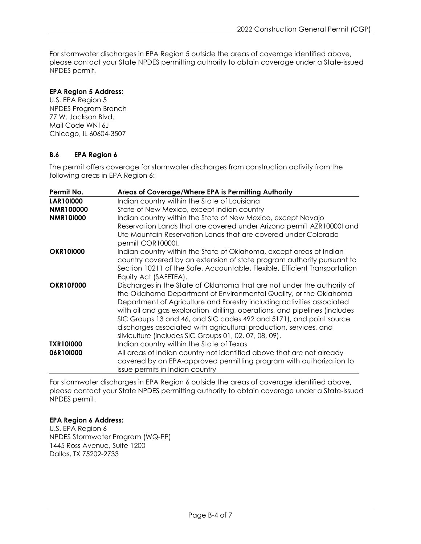For stormwater discharges in EPA Region 5 outside the areas of coverage identified above, please contact your State NPDES permitting authority to obtain coverage under a State-issued NPDES permit.

### **EPA Region 5 Address:**

U.S. EPA Region 5 NPDES Program Branch 77 W. Jackson Blvd. Mail Code WN16J Chicago, IL 60604-3507

## **B.6 EPA Region 6**

The permit offers coverage for stormwater discharges from construction activity from the following areas in EPA Region 6:

| Permit No.       | Areas of Coverage/Where EPA is Permitting Authority                         |
|------------------|-----------------------------------------------------------------------------|
| <b>LAR101000</b> | Indian country within the State of Louisiana                                |
| <b>NMR100000</b> | State of New Mexico, except Indian country                                  |
| <b>NMR10I000</b> | Indian country within the State of New Mexico, except Navajo                |
|                  | Reservation Lands that are covered under Arizona permit AZR10000I and       |
|                  | Ute Mountain Reservation Lands that are covered under Colorado              |
|                  | permit COR10000I.                                                           |
| <b>OKR101000</b> | Indian country within the State of Oklahoma, except areas of Indian         |
|                  | country covered by an extension of state program authority pursuant to      |
|                  | Section 10211 of the Safe, Accountable, Flexible, Efficient Transportation  |
|                  | Equity Act (SAFETEA).                                                       |
| <b>OKR10F000</b> | Discharges in the State of Oklahoma that are not under the authority of     |
|                  | the Oklahoma Department of Environmental Quality, or the Oklahoma           |
|                  | Department of Agriculture and Forestry including activities associated      |
|                  | with oil and gas exploration, drilling, operations, and pipelines (includes |
|                  | SIC Groups 13 and 46, and SIC codes 492 and 5171), and point source         |
|                  | discharges associated with agricultural production, services, and           |
|                  | silviculture (includes SIC Groups 01, 02, 07, 08, 09).                      |
| <b>TXR101000</b> | Indian country within the State of Texas                                    |
| 06R10I000        | All areas of Indian country not identified above that are not already       |
|                  | covered by an EPA-approved permitting program with authorization to         |
|                  | issue permits in Indian country                                             |

For stormwater discharges in EPA Region 6 outside the areas of coverage identified above, please contact your State NPDES permitting authority to obtain coverage under a State-issued NPDES permit.

### **EPA Region 6 Address:**

U.S. EPA Region 6 NPDES Stormwater Program (WQ-PP) 1445 Ross Avenue, Suite 1200 Dallas, TX 75202-2733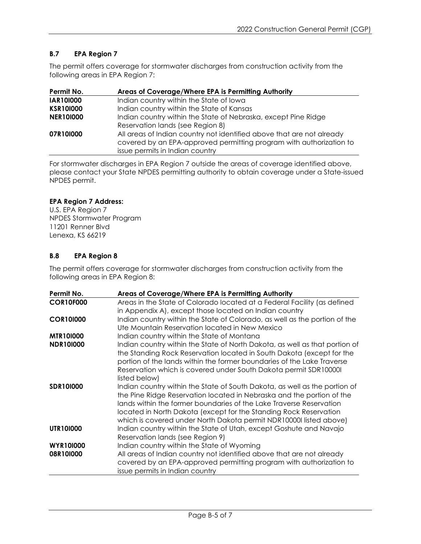## **B.7 EPA Region 7**

The permit offers coverage for stormwater discharges from construction activity from the following areas in EPA Region 7:

| Permit No.       | Areas of Coverage/Where EPA is Permitting Authority                                                                                          |
|------------------|----------------------------------------------------------------------------------------------------------------------------------------------|
| <b>IAR101000</b> | Indian country within the State of Iowa                                                                                                      |
| <b>KSR101000</b> | Indian country within the State of Kansas                                                                                                    |
| <b>NER101000</b> | Indian country within the State of Nebraska, except Pine Ridge                                                                               |
|                  | Reservation lands (see Region 8)                                                                                                             |
| 07R10I000        | All areas of Indian country not identified above that are not already<br>covered by an EPA-approved permitting program with authorization to |
|                  | issue permits in Indian country                                                                                                              |

For stormwater discharges in EPA Region 7 outside the areas of coverage identified above, please contact your State NPDES permitting authority to obtain coverage under a State-issued NPDES permit.

### **EPA Region 7 Address:**

U.S. EPA Region 7 NPDES Stormwater Program 11201 Renner Blvd Lenexa, KS 66219

### **B.8 EPA Region 8**

The permit offers coverage for stormwater discharges from construction activity from the following areas in EPA Region 8:

| Permit No.       | Areas of Coverage/Where EPA is Permitting Authority                         |
|------------------|-----------------------------------------------------------------------------|
| <b>COR10F000</b> | Areas in the State of Colorado located at a Federal Facility (as defined    |
|                  | in Appendix A), except those located on Indian country                      |
| <b>COR101000</b> | Indian country within the State of Colorado, as well as the portion of the  |
|                  | Ute Mountain Reservation located in New Mexico                              |
| <b>MTR101000</b> | Indian country within the State of Montana                                  |
| <b>NDR101000</b> | Indian country within the State of North Dakota, as well as that portion of |
|                  | the Standing Rock Reservation located in South Dakota (except for the       |
|                  | portion of the lands within the former boundaries of the Lake Traverse      |
|                  | Reservation which is covered under South Dakota permit SDR100001            |
|                  | listed below)                                                               |
| <b>SDR101000</b> | Indian country within the State of South Dakota, as well as the portion of  |
|                  | the Pine Ridge Reservation located in Nebraska and the portion of the       |
|                  | lands within the former boundaries of the Lake Traverse Reservation         |
|                  | located in North Dakota (except for the Standing Rock Reservation           |
|                  | which is covered under North Dakota permit NDR10000I listed above)          |
| UTR101000        | Indian country within the State of Utah, except Goshute and Navajo          |
|                  | Reservation lands (see Region 9)                                            |
| <b>WYR101000</b> | Indian country within the State of Wyoming                                  |
| 08R10I000        | All areas of Indian country not identified above that are not already       |
|                  | covered by an EPA-approved permitting program with authorization to         |
|                  | issue permits in Indian country                                             |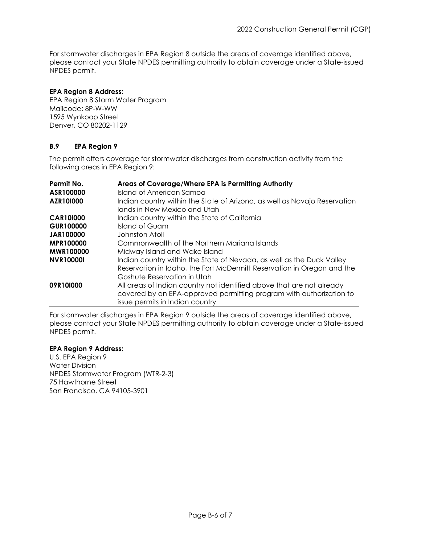For stormwater discharges in EPA Region 8 outside the areas of coverage identified above, please contact your State NPDES permitting authority to obtain coverage under a State-issued NPDES permit.

#### **EPA Region 8 Address:**

EPA Region 8 Storm Water Program Mailcode: 8P-W-WW 1595 Wynkoop Street Denver, CO 80202-1129

### **B.9 EPA Region 9**

The permit offers coverage for stormwater discharges from construction activity from the following areas in EPA Region 9:

| Permit No.       | Areas of Coverage/Where EPA is Permitting Authority                                                                                                                             |
|------------------|---------------------------------------------------------------------------------------------------------------------------------------------------------------------------------|
| ASR100000        | Island of American Samoa                                                                                                                                                        |
| AZR101000        | Indian country within the State of Arizona, as well as Navajo Reservation<br>lands in New Mexico and Utah                                                                       |
| <b>CAR101000</b> | Indian country within the State of California                                                                                                                                   |
| <b>GUR100000</b> | Island of Guam                                                                                                                                                                  |
| <b>JAR100000</b> | Johnston Atoll                                                                                                                                                                  |
| <b>MPR100000</b> | Commonwealth of the Northern Mariana Islands                                                                                                                                    |
| <b>MWR100000</b> | Midway Island and Wake Island                                                                                                                                                   |
| <b>NVR100001</b> | Indian country within the State of Nevada, as well as the Duck Valley<br>Reservation in Idaho, the Fort McDermitt Reservation in Oregon and the<br>Goshute Reservation in Utah  |
| 09R10I000        | All areas of Indian country not identified above that are not already<br>covered by an EPA-approved permitting program with authorization to<br>issue permits in Indian country |

For stormwater discharges in EPA Region 9 outside the areas of coverage identified above, please contact your State NPDES permitting authority to obtain coverage under a State-issued NPDES permit.

### **EPA Region 9 Address:**

U.S. EPA Region 9 Water Division NPDES Stormwater Program (WTR-2-3) 75 Hawthorne Street San Francisco, CA 94105-3901